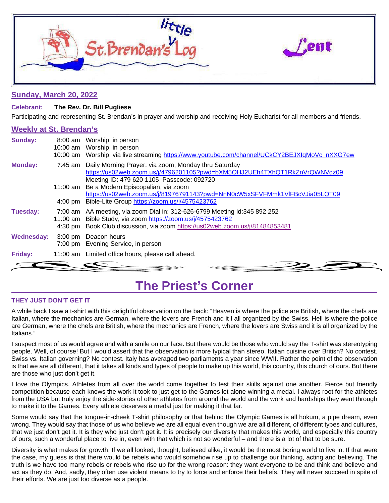

### **Sunday, March 20, 2022**

### **Celebrant: The Rev. Dr. Bill Pugliese**

Participating and representing St. Brendan's in prayer and worship and receiving Holy Eucharist for all members and friends.

### **Weekly at St. Brendan's**

| <b>Sunday:</b>    |                               | 8:00 am Worship, in person<br>10:00 am Worship, in person<br>10:00 am Worship, via live streaming https://www.youtube.com/channel/UCkCY2BEJXIgMoVc nXXG7ew                                              |
|-------------------|-------------------------------|---------------------------------------------------------------------------------------------------------------------------------------------------------------------------------------------------------|
| <b>Monday:</b>    |                               | 7:45 am Daily Morning Prayer, via zoom, Monday thru Saturday<br>https://us02web.zoom.us/j/4796201105?pwd=bXM5OHJ2UEh4TXhQT1RkZnVrQWNVdz09<br>Meeting ID: 479 620 1105 Passcode: 092720                  |
|                   |                               | 11:00 am Be a Modern Episcopalian, via zoom                                                                                                                                                             |
|                   |                               | https://us02web.zoom.us/j/81976791143?pwd=NnN0cW5xSFVFMmk1VIFBcVJia05LQT09                                                                                                                              |
|                   | $4:00 \text{ pm}$             | Bible-Lite Group https://zoom.us/j/4575423762                                                                                                                                                           |
| Tuesday:          | 11:00 am<br>$4:30 \text{ pm}$ | 7:00 am AA meeting, via zoom Dial in: 312-626-6799 Meeting Id:345 892 252<br>Bible Study, via zoom https://zoom.us/j/4575423762<br>Book Club discussion, via zoom https://us02web.zoom.us/j/81484853481 |
| <b>Wednesday:</b> | $3:00 \text{ pm}$             | Deacon hours<br>7:00 pm Evening Service, in person                                                                                                                                                      |
| Friday:           |                               | 11:00 am Limited office hours, please call ahead.                                                                                                                                                       |
|                   |                               |                                                                                                                                                                                                         |

### **The Priest's Corner**

### **THEY JUST DON'T GET IT**

A while back I saw a t-shirt with this delightful observation on the back: "Heaven is where the police are British, where the chefs are Italian, where the mechanics are German, where the lovers are French and it I all organized by the Swiss. Hell is where the police are German, where the chefs are British, where the mechanics are French, where the lovers are Swiss and it is all organized by the Italians."

I suspect most of us would agree and with a smile on our face. But there would be those who would say the T-shirt was stereotyping people. Well, of course! But I would assert that the observation is more typical than stereo. Italian cuisine over British? No contest. Swiss vs. Italian governing? No contest. Italy has averaged two parliaments a year since WWII. Rather the point of the observation is that we are all different, that it takes all kinds and types of people to make up this world, this country, this church of ours. But there are those who just don't get it.

I love the Olympics. Athletes from all over the world come together to test their skills against one another. Fierce but friendly competition because each knows the work it took to just get to the Games let alone winning a medal. I always root for the athletes from the USA but truly enjoy the side-stories of other athletes from around the world and the work and hardships they went through to make it to the Games. Every athlete deserves a medal just for making it that far.

Some would say that the tongue-in-cheek T-shirt philosophy or that behind the Olympic Games is all hokum, a pipe dream, even wrong. They would say that those of us who believe we are all equal even though we are all different, of different types and cultures, that we just don't get it. It is they who just don't get it. It is precisely our diversity that makes this world, and especially this country of ours, such a wonderful place to live in, even with that which is not so wonderful – and there is a lot of that to be sure.

Diversity is what makes for growth. If we all looked, thought, believed alike, it would be the most boring world to live in. If that were the case, my guess is that there would be rebels who would somehow rise up to challenge our thinking, acting and believing. The truth is we have too many rebels or rebels who rise up for the wrong reason: they want everyone to be and think and believe and act as they do. And, sadly, they often use violent means to try to force and enforce their beliefs. They will never succeed in spite of their efforts. We are just too diverse as a people.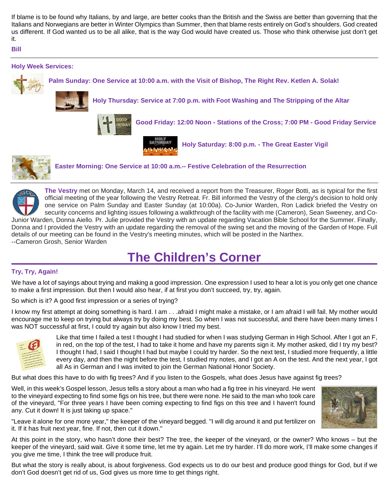If blame is to be found why Italians, by and large, are better cooks than the British and the Swiss are better than governing that the Italians and Norwegians are better in Winter Olympics than Summer, then that blame rests entirely on God's shoulders. God created us different. If God wanted us to be all alike, that is the way God would have created us. Those who think otherwise just don't get it.

### **Bill**



official meeting of the year following the Vestry Retreat. Fr. Bill informed the Vestry of the clergy's decision to hold only one service on Palm Sunday and Easter Sunday (at 10:00a). Co-Junior Warden, Ron Ladick briefed the Vestry on security concerns and lighting issues following a walkthrough of the facility with me (Cameron), Sean Sweeney, and Co-Junior Warden, Donna Aiello. Pr. Julie provided the Vestry with an update regarding Vacation Bible School for the Summer. Finally, Donna and I provided the Vestry with an update regarding the removal of the swing set and the moving of the Garden of Hope. Full details of our meeting can be found in the Vestry's meeting minutes, which will be posted in the Narthex.

--Cameron Grosh, Senior Warden

## **The Children's Corner**

### **Try, Try, Again!**

We have a lot of sayings about trying and making a good impression. One expression I used to hear a lot is you only get one chance to make a first impression. But then I would also hear, if at first you don't succeed, try, try, again.

So which is it? A good first impression or a series of trying?

I know my first attempt at doing something is hard. I am . . .afraid I might make a mistake, or I am afraid I will fail. My mother would encourage me to keep on trying but always try by doing my best. So when I was not successful, and there have been many times I was NOT successful at first, I could try again but also know I tried my best.



Like that time I failed a test I thought I had studied for when I was studying German in High School. After I got an F, in red, on the top of the test, I had to take it home and have my parents sign it. My mother asked, did I try my best? I thought I had, I said I thought I had but maybe I could try harder. So the next test, I studied more frequently, a little every day, and then the night before the test, I studied my notes, and I got an A on the test. And the next year, I got all As in German and I was invited to join the German National Honor Society.

But what does this have to do with fig trees? And if you listen to the Gospels, what does Jesus have against fig trees?

Well, in this week's Gospel lesson, Jesus tells a story about a man who had a fig tree in his vineyard. He went to the vineyard expecting to find some figs on his tree, but there were none. He said to the man who took care of the vineyard, "For three years I have been coming expecting to find figs on this tree and I haven't found any. Cut it down! It is just taking up space."



"Leave it alone for one more year," the keeper of the vineyard begged. "I will dig around it and put fertilizer on it. If it has fruit next year, fine. If not, then cut it down."

At this point in the story, who hasn't done their best? The tree, the keeper of the vineyard, or the owner? Who knows – but the keeper of the vineyard, said wait. Give it some time, let me try again. Let me try harder. I'll do more work, I'll make some changes if you give me time, I think the tree will produce fruit.

But what the story is really about, is about forgiveness. God expects us to do our best and produce good things for God, but if we don't God doesn't get rid of us, God gives us more time to get things right.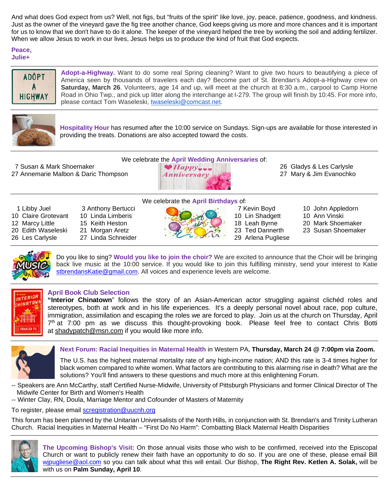And what does God expect from us? Well, not figs, but "fruits of the spirit" like love, joy, peace, patience, goodness, and kindness. Just as the owner of the vineyard gave the fig tree another chance, God keeps giving us more and more chances and it is important for us to know that we don't have to do it alone. The keeper of the vineyard helped the tree by working the soil and adding fertilizer. When we allow Jesus to work in our lives, Jesus helps us to produce the kind of fruit that God expects.

### **Peace, Julie+**



**Adopt-a-Highway.** Want to do some real Spring cleaning? Want to give two hours to beautifying a piece of America seen by thousands of travelers each day? Become part of St. Brendan's Adopt-a-Highway crew on **Saturday, March 26**. Volunteers, age 14 and up, will meet at the church at 8:30 a.m., carpool to Camp Horne Road in Ohio Twp., and pick up litter along the interchange at I-279. The group will finish by 10:45. For more info, please contact Tom Waseleski, [twaseleski@comcast.net.](mailto:twaseleski@comcast.net)



**Hospitality Hour** has resumed after the 10:00 service on Sundays. Sign-ups are available for those interested in providing the treats. Donations are also accepted toward the costs.

7 Susan & Mark Shoemaker 26 Gladys & Les Carlysle 27 Annemarie Malbon & Daric Thompson  $\blacksquare$  Anniversary  $\blacksquare$  27 Mary & Jim Evanochko



- 
- 
- 
- -
	-
- We celebrate the **April Birthdays** of: 1 Libby Juel 3 Anthony Bertucci 7 Kevin Boyd 10 John Appledorn 10 Claire Grotevant 10 Linda Limberis 10 Linguage 10 Lin Shadgett 10 Ann Vinski 12 Marcy Little 15 Keith Heston 20 Edith Waseleski 21 Morgan Aretz 23 Ted Dannerth 23 Susan Shoemaker 26 Les Carlysle 27 Linda Schneider 20 Arlena Pugliese
	-
- 
- 
- 20 Mark Shoemaker
- 



Do you like to sing? **Would you like to join the choir?** We are excited to announce that the Choir will be bringing back live music at the 10:00 service. If you would like to join this fulfilling ministry, send your interest to Katie [stbrendansKatie@gmail.com.](mailto:stbrendansKatie@gmail.com) All voices and experience levels are welcome.



### **April Book Club Selection**

**"Interior Chinatown**" follows the story of an Asian-American actor struggling against clichéd roles and stereotypes, both at work and in his life experiences. It's a deeply personal novel about race, pop culture, immigration, assimilation and escaping the roles we are forced to play. Join us at the church on Thursday, April  $7<sup>th</sup>$  at 7:00 pm as we discuss this thought-provoking book. Please feel free to contact Chris Botti at [shadypatch@msn.com](mailto:shadypatch@msn.com) if you would like more info.



### **Next Forum: Racial Inequities in Maternal Health** in Western PA, **Thursday, March 24 @ 7:00pm via Zoom.**

The U.S. has the highest maternal mortality rate of any high-income nation; AND this rate is 3-4 times higher for black women compared to white women. What factors are contributing to this alarming rise in death? What are the solutions? You'll find answers to these questions and much more at this enlightening Forum.

- -- Speakers are Ann McCarthy, staff Certified Nurse-Midwife, University of Pittsburgh Physicians and former Clinical Director of The Midwife Center for Birth and Women's Health
- -- Winter Clay, RN, Doula, Marriage Mentor and Cofounder of Masters of Maternity

To register, please email [scregistration@uucnh.org](mailto:scregistration@uucnh.org)

This forum has been planned by the Unitarian Universalists of the North Hills, in conjunction with St. Brendan's and Trinity Lutheran Church. Racial Inequities in Maternal Health – "First Do No Harm": Combatting Black Maternal Health Disparities



**The Upcoming Bishop's Visit:** On those annual visits those who wish to be confirmed, received into the Episcopal Church or want to publicly renew their faith have an opportunity to do so. If you are one of these, please email Bill [wjpugliese@aol.com](mailto:wjpugliese@aol.com) so you can talk about what this will entail. Our Bishop, **The Right Rev. Ketlen A. Solak,** will be with us on **Palm Sunday, April 10**.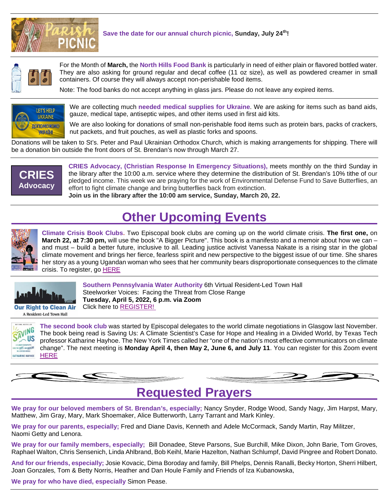

### **Save the date for our annual church picnic, Sunday, July 24th!**



For the Month of **March,** the **North Hills Food Bank** is particularly in need of either plain or flavored bottled water. They are also asking for ground regular and decaf coffee (11 oz size), as well as powdered creamer in small containers. Of course they will always accept non-perishable food items.

Note: The food banks do not accept anything in glass jars. Please do not leave any expired items.



We are collecting much **needed medical supplies for Ukraine**. We are asking for items such as band aids, gauze, medical tape, antiseptic wipes, and other items used in first aid kits.

We are also looking for donations of small non-perishable food items such as protein bars, packs of crackers, nut packets, and fruit pouches, as well as plastic forks and spoons.

Donations will be taken to St's. Peter and Paul Ukrainian Orthodox Church, which is making arrangements for shipping. There will be a donation bin outside the front doors of St. Brendan's now through March 27.



**CRIES Advocacy, (Christian Response In Emergency Situations),** meets monthly on the third Sunday in the library after the 10:00 a.m. service where they determine the distribution of St. Brendan's 10% tithe of our pledged income. This week we are praying for the work of Environmental Defense Fund to Save Butterflies, an effort to fight climate change and bring butterflies back from extinction. **Join us in the library after the 10:00 am service, Sunday, March 20, 22.**

### **Other Upcoming Events**



**Climate Crisis Book Clubs.** Two Episcopal book clubs are coming up on the world climate crisis. **The first one,** on **March 22, at 7:30 pm,** will use the book "A Bigger Picture". This book is a manifesto and a memoir about how we can – and must – build a better future, inclusive to all. Leading justice activist Vanessa Nakate is a rising star in the global climate movement and brings her fierce, fearless spirit and new perspective to the biggest issue of our time. She shares her story as a young Ugandan woman who sees that her community bears disproportionate consequences to the climate crisis. To register, go **[HERE](https://zoom.us/meeting/register/tJEtc-6qrT0uHNz_flgBf709ALMoJ8PaP2gb)** 



A Resident-Led Town Hall

**Southern Pennsylvania Water Authority** 6th Virtual Resident-Led Town Hall Steelworker Voices: Facing the Threat from Close Range **Tuesday, April 5, 2022, 6 p.m. via Zoom** Click here to [REGISTER!](https://breatheproject.us1.list-manage.com/track/click?u=cb26f5e33b6ce6445e09c55c3&id=d15aac8775&e=560fbc6b36)



**The second book club** was started by Episcopal delegates to the world climate negotiations in Glasgow last November. The book being read is Saving Us: A Climate Scientist's Case for Hope and Healing in a Divided World, by Texas Tech professor Katharine Hayhoe. The New York Times called her "one of the nation's most effective communicators on climate change". The next meeting is **Monday April 4, then May 2, June 6, and July 11**. You can register for this Zoom event **[HERE](https://us02web.zoom.us/meeting/register/tZUpcuyhqjIpGtxpKe7Cx8TOYL2Toz9sNJZR)** 

**Requested Prayers**

**We pray for our beloved members of St. Brendan's, especially;** Nancy Snyder, Rodge Wood, Sandy Nagy, Jim Harpst, Mary, Matthew, Jim Gray, Mary, Mark Shoemaker, Alice Butterworth, Larry Tarrant and Mark Kinley.

**We pray for our parents, especially;** Fred and Diane Davis, Kenneth and Adele McCormack, Sandy Martin, Ray Militzer, Naomi Getty and Lenora.

**We pray for our family members, especially;** Bill Donadee, Steve Parsons, Sue Burchill, Mike Dixon, John Barie, Tom Groves, Raphael Walton, Chris Sensenich, Linda Ahlbrand, Bob Keihl, Marie Hazelton, Nathan Schlumpf, David Pingree and Robert Donato.

**And for our friends, especially;** Josie Kovacic, Dima Boroday and family, Bill Phelps, Dennis Ranalli, Becky Horton, Sherri Hilbert, Joan Gonzales, Tom & Betty Norris, Heather and Dan Houle Family and Friends of Iza Kubanowska,

**We pray for who have died, especially** Simon Pease.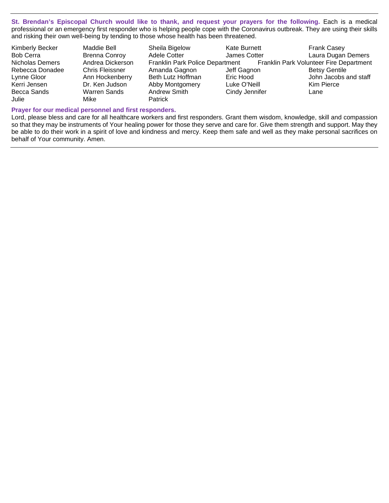**St. Brendan's Episcopal Church would like to thank, and request your prayers for the following.** Each is a medical professional or an emergency first responder who is helping people cope with the Coronavirus outbreak. They are using their skills and risking their own well-being by tending to those whose health has been threatened.

| Kimberly Becker  | Maddie Bell            | Sheila Bigelow    | Kate Burnett   | <b>Frank Casey</b>                                                      |
|------------------|------------------------|-------------------|----------------|-------------------------------------------------------------------------|
| <b>Bob Cerra</b> | <b>Brenna Conroy</b>   | Adele Cotter      | James Cotter   | Laura Dugan Demers                                                      |
| Nicholas Demers  | Andrea Dickerson       |                   |                | Franklin Park Police Department Franklin Park Volunteer Fire Department |
| Rebecca Donadee  | <b>Chris Fleissner</b> | Amanda Gagnon     | Jeff Gagnon    | <b>Betsy Gentile</b>                                                    |
| Lynne Gloor      | Ann Hockenberry        | Beth Lutz Hoffman | Eric Hood      | John Jacobs and staff                                                   |
| Kerri Jensen     | Dr. Ken Judson         | Abby Montgomery   | Luke O'Neill   | Kim Pierce                                                              |
| Becca Sands      | Warren Sands           | Andrew Smith      | Cindy Jennifer | Lane                                                                    |
| Julie            | Mike                   | <b>Patrick</b>    |                |                                                                         |

#### **Prayer for our medical personnel and first responders.**

Lord, please bless and care for all healthcare workers and first responders. Grant them wisdom, knowledge, skill and compassion so that they may be instruments of Your healing power for those they serve and care for. Give them strength and support. May they be able to do their work in a spirit of love and kindness and mercy. Keep them safe and well as they make personal sacrifices on behalf of Your community. Amen.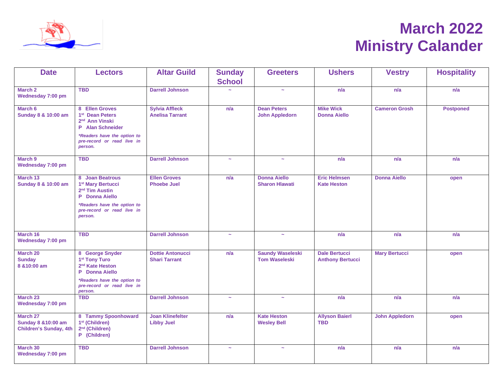

# **March 2022 Ministry Calander**

| <b>Date</b>                                                      | <b>Lectors</b>                                                                                                                 | <b>Altar Guild</b>                              | <b>Sunday</b>         | <b>Greeters</b>                                 | <b>Ushers</b>                                   | <b>Vestry</b>         | <b>Hospitality</b> |
|------------------------------------------------------------------|--------------------------------------------------------------------------------------------------------------------------------|-------------------------------------------------|-----------------------|-------------------------------------------------|-------------------------------------------------|-----------------------|--------------------|
|                                                                  |                                                                                                                                |                                                 | <b>School</b>         |                                                 |                                                 |                       |                    |
| March 2<br>Wednesday 7:00 pm                                     | <b>TBD</b>                                                                                                                     | <b>Darrell Johnson</b>                          |                       | $\tilde{\phantom{a}}$                           | n/a                                             | n/a                   | n/a                |
| March 6<br>Sunday 8 & 10:00 am                                   | 8 Ellen Groves<br>1 <sup>st</sup> Dean Peters<br>2 <sup>nd</sup> Ann Vinski<br>P Alan Schneider<br>*Readers have the option to |                                                 | n/a                   | <b>Dean Peters</b><br><b>John Appledorn</b>     | <b>Mike Wick</b><br><b>Donna Aiello</b>         | <b>Cameron Grosh</b>  | <b>Postponed</b>   |
|                                                                  | pre-record or read live in<br>person.                                                                                          |                                                 |                       |                                                 |                                                 |                       |                    |
| March 9<br>Wednesday 7:00 pm                                     | <b>TBD</b>                                                                                                                     | <b>Darrell Johnson</b>                          | $\sim$                | $\sim$                                          | n/a                                             | n/a                   | n/a                |
| March 13<br>Sunday 8 & 10:00 am                                  | 8 Joan Beatrous<br>1 <sup>st</sup> Mary Bertucci<br>2 <sup>nd</sup> Tim Austin<br>P Donna Aiello                               | <b>Ellen Groves</b><br><b>Phoebe Juel</b>       | n/a                   | <b>Donna Aiello</b><br><b>Sharon Hlawati</b>    | <b>Eric Helmsen</b><br><b>Kate Heston</b>       | <b>Donna Aiello</b>   | open               |
|                                                                  | *Readers have the option to<br>pre-record or read live in<br>person.                                                           |                                                 |                       |                                                 |                                                 |                       |                    |
| March 16<br>Wednesday 7:00 pm                                    | <b>TBD</b>                                                                                                                     | <b>Darrell Johnson</b>                          | $\tilde{\phantom{a}}$ | $\tilde{\phantom{a}}$                           | n/a                                             | n/a                   | n/a                |
| March 20<br><b>Sunday</b><br>8 & 10:00 am                        | 8 George Snyder<br>1 <sup>st</sup> Tony Turo<br>2 <sup>nd</sup> Kate Heston<br><b>Donna Aiello</b><br>P                        | <b>Dottie Antonucci</b><br><b>Shari Tarrant</b> | n/a                   | <b>Saundy Waseleski</b><br><b>Tom Waseleski</b> | <b>Dale Bertucci</b><br><b>Anthony Bertucci</b> | <b>Mary Bertucci</b>  | open               |
|                                                                  | *Readers have the option to<br>pre-record or read live in<br>person.                                                           |                                                 |                       |                                                 |                                                 |                       |                    |
| March 23<br>Wednesday 7:00 pm                                    | <b>TBD</b>                                                                                                                     | <b>Darrell Johnson</b>                          | $\tilde{\phantom{a}}$ | $\tilde{\phantom{a}}$                           | n/a                                             | n/a                   | n/a                |
| March 27<br>Sunday 8 & 10:00 am<br><b>Children's Sunday, 4th</b> | 8 Tammy Spoonhoward<br>1 <sup>st</sup> (Children)<br>2 <sup>nd</sup> (Children)<br>(Children)<br>P                             | <b>Joan Klinefelter</b><br><b>Libby Juel</b>    | n/a                   | <b>Kate Heston</b><br><b>Wesley Bell</b>        | <b>Allyson Baierl</b><br><b>TBD</b>             | <b>John Appledorn</b> | open               |
| March 30<br>Wednesday 7:00 pm                                    | <b>TBD</b>                                                                                                                     | <b>Darrell Johnson</b>                          | $\sim$                | $\tilde{\phantom{a}}$                           | n/a                                             | n/a                   | n/a                |